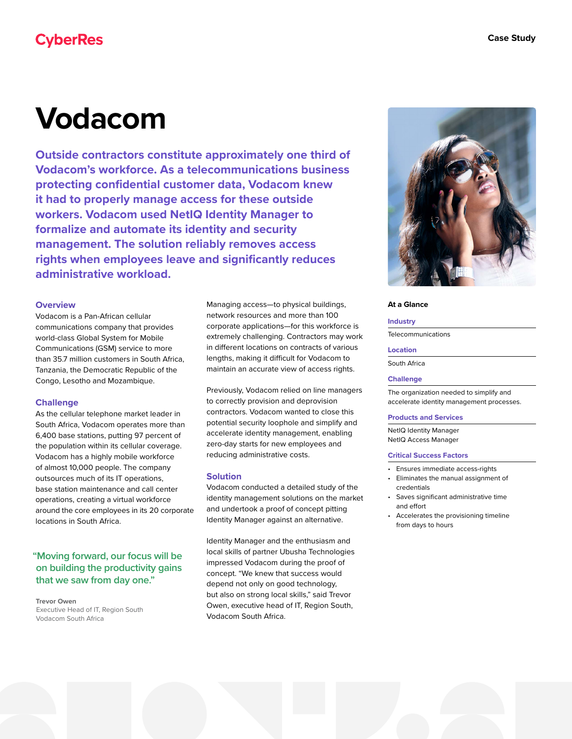# **CyberRes**

# **Vodacom**

**Outside contractors constitute approximately one third of Vodacom's workforce. As a telecommunications business protecting confidential customer data, Vodacom knew it had to properly manage access for these outside workers. Vodacom used NetIQ Identity Manager to formalize and automate its identity and security management. The solution reliably removes access rights when employees leave and significantly reduces administrative workload.**

### **Overview**

Vodacom is a Pan-African cellular communications company that provides world-class Global System for Mobile Communications (GSM) service to more than 35.7 million customers in South Africa, Tanzania, the Democratic Republic of the Congo, Lesotho and Mozambique.

# **Challenge**

As the cellular telephone market leader in South Africa, Vodacom operates more than 6,400 base stations, putting 97 percent of the population within its cellular coverage. Vodacom has a highly mobile workforce of almost 10,000 people. The company outsources much of its IT operations, base station maintenance and call center operations, creating a virtual workforce around the core employees in its 20 corporate locations in South Africa.

# **"Moving forward, our focus will be on building the productivity gains that we saw from day one."**

**Trevor Owen** Executive Head of IT, Region South Vodacom South Africa

Managing access—to physical buildings, network resources and more than 100 corporate applications—for this workforce is extremely challenging. Contractors may work in different locations on contracts of various lengths, making it difficult for Vodacom to maintain an accurate view of access rights.

Previously, Vodacom relied on line managers to correctly provision and deprovision contractors. Vodacom wanted to close this potential security loophole and simplify and accelerate identity management, enabling zero-day starts for new employees and reducing administrative costs.

# **Solution**

Vodacom conducted a detailed study of the identity management solutions on the market and undertook a proof of concept pitting Identity Manager against an alternative.

Identity Manager and the enthusiasm and local skills of partner Ubusha Technologies impressed Vodacom during the proof of concept. "We knew that success would depend not only on good technology, but also on strong local skills," said Trevor Owen, executive head of IT, Region South, Vodacom South Africa.



#### **At a Glance**

#### **Industry**

Telecommunications

#### **Location**

South Africa

#### **Challenge**

The organization needed to simplify and accelerate identity management processes.

#### **Products and Services**

NetIQ Identity Manager NetIQ Access Manager

#### **Critical Success Factors**

- Ensures immediate access-rights
- Eliminates the manual assignment of credentials
- Saves significant administrative time and effort
- Accelerates the provisioning timeline from days to hours